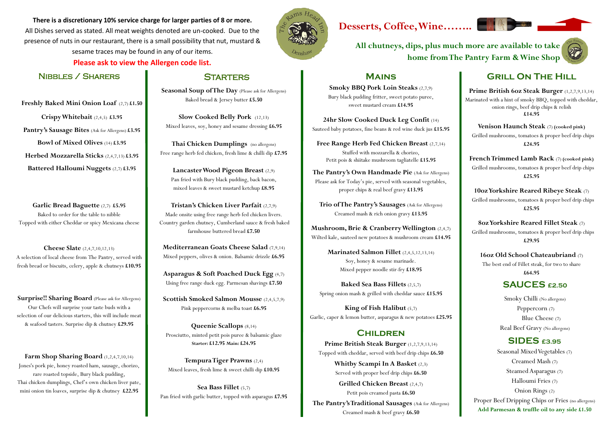**There is a discretionary 10% service charge for larger parties of 8 or more.** All Dishes served as stated. All meat weights denoted are un-cooked. Due to the presence of nuts in our restaurant, there is a small possibility that nut, mustard & sesame traces may be found in any of our items.

**Please ask to view the Allergen code list.**



#### Nibbles / Sharers

**Freshly Baked Mini Onion Loaf** (2,7) **£1.50 Crispy Whitebait** (2,4,5) **£3.95**

**Pantry's Sausage Bites** (Ask for Allergens) **£3.95 Bowl of Mixed Olives** (14) **£3.95 Herbed Mozzarella Sticks** (2,4,7,13) **£3.95 Battered Halloumi Nuggets** (2,7) **£3.95**

**Garlic Bread Baguette** (2,7) **£5.95** Baked to order for the table to nibble Topped with either Cheddar or spicy Mexicana cheese

Farm Shop Sharing Board (1,2,4,7,10,14) Jones's pork pie, honey roasted ham, sausage, chorizo, rare roasted topside, Bury black pudding, Thai chicken dumplings, Chef's own chicken liver pate, mini onion tin loaves, surprise dip & chutney **£22.95**

## **STARTERS**

Seasonal Soup of The Day (Please ask for Allergens) Baked bread & Jersey butter **£5.50**

**Cheese Slate** (2,4,7,10,12,13) A selection of local cheese from The Pantry, served with fresh bread or biscuits, celery, apple & chutneys **£10.95**

**Surprise!! Sharing Board** (Please ask for Allergens) Our Chefs will surprise your taste buds with a selection of our delicious starters, this will include meat & seafood tasters. Surprise dip & chutney **£29.95**

**Slow Cooked Belly Pork** (12,13) Mixed leaves, soy, honey and sesame dressing **£6.95**

**Thai Chicken Dumplings** (no allergens) Free range herb fed chicken, fresh lime & chilli dip **£7.95**

**Lancaster Wood Pigeon Breast** (2,9) Pan fried with Bury black pudding, back bacon, mixed leaves & sweet mustard ketchup **£8.95**

**Tristan's Chicken Liver Parfait** (2,7,9) Made onsite using free range herb fed chicken livers. Country garden chutney, Cumberland sauce & fresh baked farmhouse buttered bread **£7.50**

**Mediterranean Goats Cheese Salad** (7,9,14) Mixed peppers, olives & onion. Balsamic drizzle **£6.95**

**Asparagus & Soft Poached Duck Egg** (4,7) Using free range duck egg. Parmesan shavings **£7.50**

**Scottish Smoked Salmon Mousse** (2,4,5,7,9) Pink peppercorns & melba toast **£6.95**

**Queenie Scallops** (8,14) Prosciutto, minted petit pois puree & balsamic glaze **Starter: £12.95 Main: £24.95**

**Tempura Tiger Prawns** (2,4) Mixed leaves, fresh lime & sweet chilli dip **£10.95**

**Sea Bass Fillet** (5,7) Pan fried with garlic butter, topped with asparagus **£7.95**



#### **Mains**

**Smoky BBQ Pork Loin Steaks** (2,7,9) Bury black pudding fritter, sweet potato puree, sweet mustard cream **£14.95**

**24hr Slow Cooked Duck Leg Confit** (14) Sauteed baby potatoes, fine beans & red wine duck jus **£15.95**

**Free Range Herb Fed Chicken Breast** (2,7,14) Stuffed with mozzarella & chorizo, Petit pois & shiitake mushroom tagliatelle **£15.95**

**The Pantry's Own Handmade Pie** (Ask for Allergens) Please ask for Today's pie, served with seasonal vegetables, proper chips & real beef gravy **£13.95**

**Trio of The Pantry's Sausages** (Ask for Allergens) Creamed mash & rich onion gravy **£13.95**

**Mushroom, Brie & Cranberry Wellington** (2,4,7) Wilted kale, sauteed new potatoes & mushroom cream **£14.95**

> **Marinated Salmon Fillet** (2,4,5,12,13,14) Soy, honey & sesame marinade. Mixed pepper noodle stir-fry **£18.95**

**Baked Sea Bass Fillets** (2,5,7) Spring onion mash & grilled with cheddar sauce **£15.95**

**King of Fish Halibut** (5,7) Garlic, caper & lemon butter, asparagus & new potatoes **£25.95**

#### **CHILDREN**

**Prime British Steak Burger** (1,2,7,9,13,14) Topped with cheddar, served with beef drip chips **£6.50**

> **Whitby Scampi In A Basket** (2,3) Served with proper beef drip chips **£6.50**

**Grilled Chicken Breast** (2,4,7) Petit pois creamed pasta **£6.50**

**The Pantry's Traditional Sausages** (Ask for Allergens) Creamed mash & beef gravy **£6.50**

## **Grill On The Hill**

**Prime British 6oz Steak Burger** (1,2,7,9,13,14) Marinated with a hint of smoky BBQ, topped with cheddar, onion rings, beef drip chips & relish **£14.95**

**Venison Haunch Steak** (7) **(cooked pink)**

 Grilled mushrooms, tomatoes & proper beef drip chips **£24.95**

**French Trimmed Lamb Rack** (7) **(cooked pink)** Grilled mushrooms, tomatoes & proper beef drip chips **£25.95**

**10oz Yorkshire Reared Ribeye Steak** (7)

 Grilled mushrooms, tomatoes & proper beef drip chips **£25.95**

**8oz Yorkshire Reared Fillet Steak** (7) Grilled mushrooms, tomatoes & proper beef drip chips **£29.95**

**16oz Old School Chateaubriand** (7)

The best end of Fillet steak, for two to share **£64.95**

## **SAUCES £2.50**

Smoky Chilli (No allergens) Peppercorn (7) Blue Cheese (7) Real Beef Gravy (No allergens)

## **Desserts, Coffee, Wine……..**

#### **SIDES £3.95**

Seasonal Mixed Vegetables (7) Creamed Mash (7) Steamed Asparagus (7) Halloumi Fries (7) Onion Rings (2) Proper Beef Dripping Chips or Fries (no allergens) **Add Parmesan & truffle oil to any side £1.50**

**All chutneys, dips, plus much more are available to take** 

# **home from The Pantry Farm & Wine Shop**